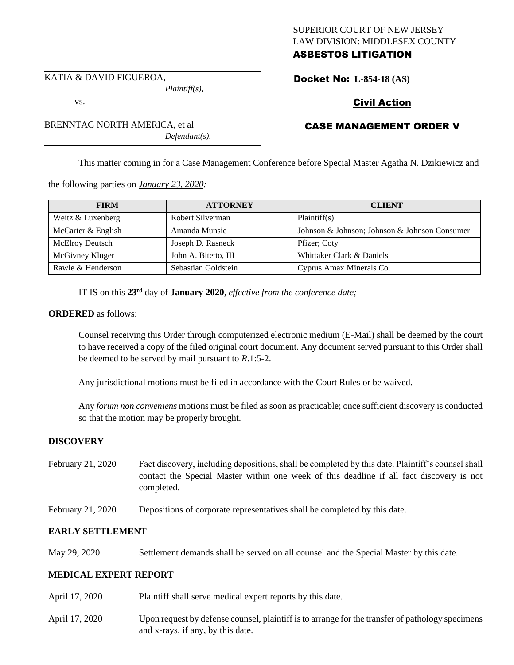### SUPERIOR COURT OF NEW JERSEY LAW DIVISION: MIDDLESEX COUNTY

# ASBESTOS LITIGATION

KATIA & DAVID FIGUEROA, *Plaintiff(s),* vs.

BRENNTAG NORTH AMERICA, et al *Defendant(s).* Docket No: **L-854-18 (AS)** 

# Civil Action

# CASE MANAGEMENT ORDER V

This matter coming in for a Case Management Conference before Special Master Agatha N. Dzikiewicz and

the following parties on *January 23, 2020:*

| <b>FIRM</b>            | <b>ATTORNEY</b>      | <b>CLIENT</b>                                 |
|------------------------|----------------------|-----------------------------------------------|
| Weitz & Luxenberg      | Robert Silverman     | Plaintiff(s)                                  |
| McCarter & English     | Amanda Munsie        | Johnson & Johnson; Johnson & Johnson Consumer |
| <b>McElroy Deutsch</b> | Joseph D. Rasneck    | Pfizer; Coty                                  |
| McGivney Kluger        | John A. Bitetto, III | Whittaker Clark & Daniels                     |
| Rawle & Henderson      | Sebastian Goldstein  | Cyprus Amax Minerals Co.                      |

IT IS on this  $23<sup>rd</sup>$  day of **January 2020**, *effective from the conference date*;

#### **ORDERED** as follows:

Counsel receiving this Order through computerized electronic medium (E-Mail) shall be deemed by the court to have received a copy of the filed original court document. Any document served pursuant to this Order shall be deemed to be served by mail pursuant to *R*.1:5-2.

Any jurisdictional motions must be filed in accordance with the Court Rules or be waived.

Any *forum non conveniens* motions must be filed as soon as practicable; once sufficient discovery is conducted so that the motion may be properly brought.

## **DISCOVERY**

- February 21, 2020 Fact discovery, including depositions, shall be completed by this date. Plaintiff's counsel shall contact the Special Master within one week of this deadline if all fact discovery is not completed.
- February 21, 2020 Depositions of corporate representatives shall be completed by this date.

## **EARLY SETTLEMENT**

May 29, 2020 Settlement demands shall be served on all counsel and the Special Master by this date.

## **MEDICAL EXPERT REPORT**

- April 17, 2020 Plaintiff shall serve medical expert reports by this date.
- April 17, 2020 Upon request by defense counsel, plaintiff is to arrange for the transfer of pathology specimens and x-rays, if any, by this date.